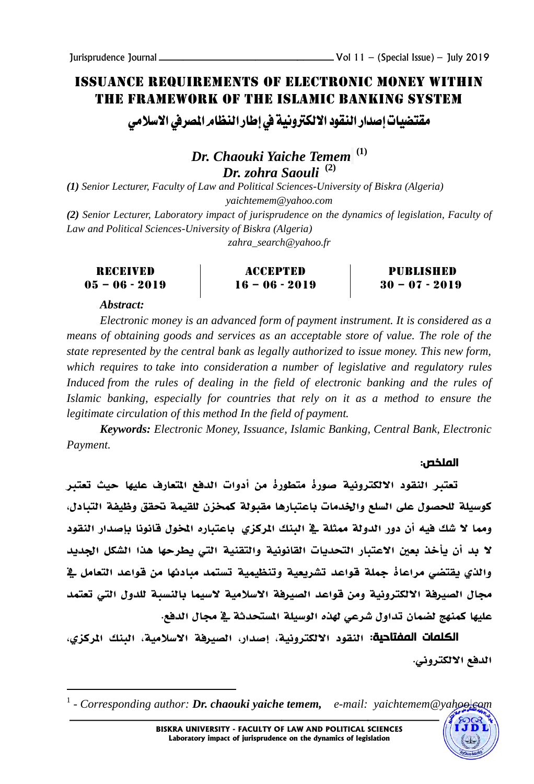## Issuance requirements of electronic money within the framework of the Islamic banking system

مقتضيات إصدار النقود الالكترونية في إطار النظام الصرفي الاسلامي

*Dr. Chaouki Yaiche Temem* **(1)** *Dr. zohra Saouli* **(2)**

*(1) Senior Lecturer, Faculty of Law and Political Sciences-University of Biskra (Algeria) yaichtemem@yahoo.com* 

*(2) Senior Lecturer, Laboratory impact of jurisprudence on the dynamics of legislation, Faculty of Law and Political Sciences-University of Biskra (Algeria)*

*zahra\_search@yahoo.fr*

| RECEIVED |  |                |  |
|----------|--|----------------|--|
|          |  | 05 - 06 - 2019 |  |

Accepted  $16 - 06 - 2019$ 

Published  $30 - 07 - 2019$ 

*Abstract:* 

l

*Electronic money is an advanced form of payment instrument. It is considered as a means of obtaining goods and services as an acceptable store of value. The role of the state represented by the central bank as legally authorized to issue money. This new form, which requires to take into consideration a number of legislative and regulatory rules*  Induced from the rules of dealing in the field of electronic banking and the rules of *Islamic banking, especially for countries that rely on it as a method to ensure the legitimate circulation of this method In the field of payment.*

*Keywords: Electronic Money, Issuance, Islamic Banking, Central Bank, Electronic Payment.*

## الملخص:

تعترب النقود االلكترونية صورة متطورة من أدوات الدفع املتعارف عليها حيث تعترب كوسيلة للحصول على السلع واخلدمات باعتبارها مقبولة كمخزن للقيمة حتقق وظيفة التبادل، ومما لا شك فيه أن دور الدولة ممثلة ية البنك المركزي باعتباره الخول قانونا بإصدار النقود ال بد أن يأخذ بعني االعتبار التحديات القانونية والتقنية اليت يطرحها هذا الشكل اجلديد والذي يقتضي مراعاة مجلة قواعد تشريعية وتنظيمية تستمد مبادئها من قواعد التعامل يف مجال الصيرفة الالكترونية ومن قواعد الصيرفة الاسلامية لاسيما بالنسبة للدول التي تعتمد عليها كمنهج لضمان تداول شرعي هلذه الوسيلة املستحدثة يف جمال الدفع.

الكلمات المفتاحية: النقود االلكترونية، إصدار، الصريفة االسالمية، البنك املركزي، الدفع االلكتروين.

<sup>&</sup>lt;sup>1</sup> - *Corresponding author: Dr. chaouki yaiche temem, <i>e-mail: yaichtemem@yahoo.com*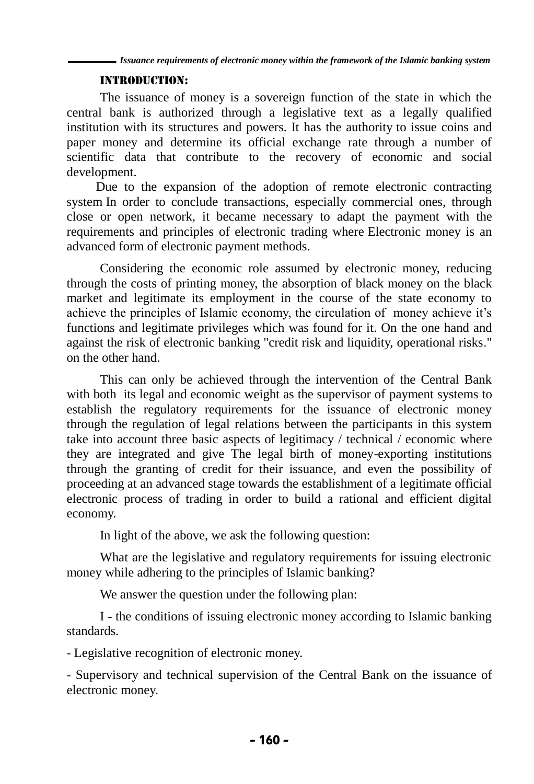## Introduction:

The issuance of money is a sovereign function of the state in which the central bank is authorized through a legislative text as a legally qualified institution with its structures and powers. It has the authority to issue coins and paper money and determine its official exchange rate through a number of scientific data that contribute to the recovery of economic and social development.

 Due to the expansion of the adoption of remote electronic contracting system In order to conclude transactions, especially commercial ones, through close or open network, it became necessary to adapt the payment with the requirements and principles of electronic trading where Electronic money is an advanced form of electronic payment methods.

Considering the economic role assumed by electronic money, reducing through the costs of printing money, the absorption of black money on the black market and legitimate its employment in the course of the state economy to achieve the principles of Islamic economy, the circulation of money achieve it's functions and legitimate privileges which was found for it. On the one hand and against the risk of electronic banking "credit risk and liquidity, operational risks." on the other hand.

This can only be achieved through the intervention of the Central Bank with both its legal and economic weight as the supervisor of payment systems to establish the regulatory requirements for the issuance of electronic money through the regulation of legal relations between the participants in this system take into account three basic aspects of legitimacy / technical / economic where they are integrated and give The legal birth of money-exporting institutions through the granting of credit for their issuance, and even the possibility of proceeding at an advanced stage towards the establishment of a legitimate official electronic process of trading in order to build a rational and efficient digital economy.

In light of the above, we ask the following question:

What are the legislative and regulatory requirements for issuing electronic money while adhering to the principles of Islamic banking?

We answer the question under the following plan:

I - the conditions of issuing electronic money according to Islamic banking standards.

- Legislative recognition of electronic money.

- Supervisory and technical supervision of the Central Bank on the issuance of electronic money.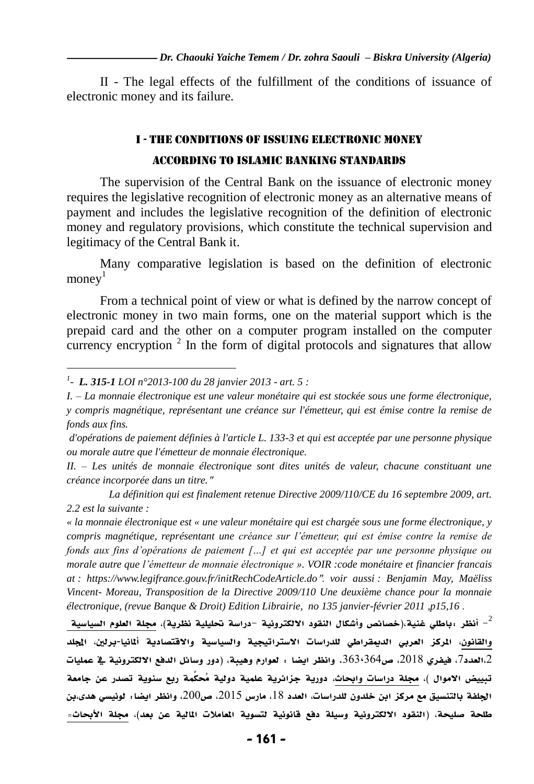II - The legal effects of the fulfillment of the conditions of issuance of electronic money and its failure.

# I - the conditions of issuing electronic money according to Islamic banking standards

The supervision of the Central Bank on the issuance of electronic money requires the legislative recognition of electronic money as an alternative means of payment and includes the legislative recognition of the definition of electronic money and regulatory provisions, which constitute the technical supervision and legitimacy of the Central Bank it.

Many comparative legislation is based on the definition of electronic  $\text{money}^1$ 

From a technical point of view or what is defined by the narrow concept of electronic money in two main forms, one on the material support which is the prepaid card and the other on a computer program installed on the computer currency encryption<sup>2</sup> In the form of digital protocols and signatures that allow

 $\overline{a}$ 

*« la monnaie électronique est « une valeur monétaire qui est chargée sous une forme électronique, y compris magnétique, représentant une créance sur l'émetteur, qui est émise contre la remise de fonds aux fins d'opérations de paiement […] et qui est acceptée par une personne physique ou morale autre que l'émetteur de monnaie électronique ». VOIR :code monétaire et financier francais at : https://www.legifrance.gouv.fr/initRechCodeArticle.do*". *voir aussi : Benjamin May, Maëliss Vincent- Moreau, Transposition de la Directive 2009/110 Une deuxième chance pour la monnaie électronique, (revue Banque & Droit) Edition Librairie, no 135 janvier-février 2011 ,p15,16* .

أنظر :باطلي غنية،(خصائص وأشكال النقود الالكترونية –دراسة تحليلية نظرية)، مجلة العلوم السياسية -والقانون، المركز العربي الديمقراطي للدراسات الاستراتيجية والسياسية والاقتصادية ألمانيا-برلين، المجلد 2،العدد7، فيفري 2018، ص363٬364. وانظر ايضا : لعوارم وهيبة، (دور وسائل الدفع الالكترونية يف عمليات تبييض الاموال )، مجلة دراسات وابحاث، دورية جزائرية علمية دولية مُحكَّمة ربع سنوية تصدر عن جامعة الجلفة بالتنسيق مع مركز ابن خلدون للدراسات، العدد 18، مارس 2015، ص200، وانظر ايضا: لونيسي هدى،بن طلحة صليحة، (النقود الالكترونية وسيلة دفع قانونية لتسوية المعاملات المالية عن بعد)، مجلة الأبحاث=

*<sup>1</sup> - L. 315-1 LOI n°2013-100 du 28 janvier 2013 - art. 5 :*

*I. – La monnaie électronique est une valeur monétaire qui est stockée sous une forme électronique, y compris magnétique, représentant une créance sur l'émetteur, qui est émise contre la remise de fonds aux fins.*

*d'opérations de paiement définies à l'article L. 133-3 et qui est acceptée par une personne physique ou morale autre que l'émetteur de monnaie électronique.*

*II. – Les unités de monnaie électronique sont dites unités de valeur, chacune constituant une créance incorporée dans un titre.*"

*La définition qui est finalement retenue Directive 2009/110/CE du 16 septembre 2009, art. 2.2 est la suivante :*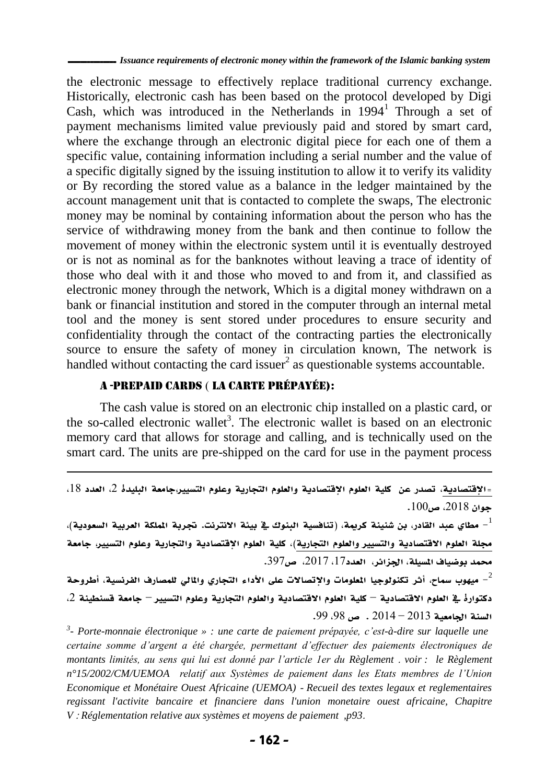ـــــــــــــــ *Issuance requirements of electronic money within the framework of the Islamic banking system*

the electronic message to effectively replace traditional currency exchange. Historically, electronic cash has been based on the protocol developed by Digi Cash, which was introduced in the Netherlands in  $1994<sup>1</sup>$  Through a set of payment mechanisms limited value previously paid and stored by smart card, where the exchange through an electronic digital piece for each one of them a specific value, containing information including a serial number and the value of a specific digitally signed by the issuing institution to allow it to verify its validity or By recording the stored value as a balance in the ledger maintained by the account management unit that is contacted to complete the swaps, The electronic money may be nominal by containing information about the person who has the service of withdrawing money from the bank and then continue to follow the movement of money within the electronic system until it is eventually destroyed or is not as nominal as for the banknotes without leaving a trace of identity of those who deal with it and those who moved to and from it, and classified as electronic money through the network, Which is a digital money withdrawn on a bank or financial institution and stored in the computer through an internal metal tool and the money is sent stored under procedures to ensure security and confidentiality through the contact of the contracting parties the electronically source to ensure the safety of money in circulation known, The network is handled without contacting the card issuer<sup>2</sup> as questionable systems accountable.

## A -Prepaid cards ) la carte prépayée):

l

The cash value is stored on an electronic chip installed on a plastic card, or the so-called electronic wallet<sup>3</sup>. The electronic wallet is based on an electronic memory card that allows for storage and calling, and is technically used on the smart card. The units are pre-shipped on the card for use in the payment process

مطاي عبد القادر، بن شنينة كريمة، (تنافسية البنوك ية بيئة الانترنت. تجربة الملكة العربية السعودية)،  $^{-1}$ مجلة العلوم الاقتصادية والتسيير والعلوم التجارية)، كلية العلوم الإقتصادية والتجارية وعلوم التسيير، جامعة محمد بوضياف المسيلة، الجزائر، العدد17، 2017، ص397.

ميهوب سماح، أثر تكنولوجيا المطومات والإتصالات على الأداء التجاري والمالي للمصارف الفرنسية، أطروحة -دكتوارة ي العلوم الاقتصادية – كلية العلوم الاقتصادية والعلوم التجارية وعلوم التسيير – جامعة قسنطينة 2،  $.99.98$  السنة الجامعية 2013 – 2014 . ص 98.

*3 - Porte-monnaie électronique » : une carte de paiement prépayée, c'est-à-dire sur laquelle une certaine somme d'argent a été chargée, permettant d'effectuer des paiements électroniques de montants limités, au sens qui lui est donné par l'article 1er du Règlement* . *voir : le Règlement n°15/2002/CM/UEMOA relatif aux Systèmes de paiement dans les Etats membres de l'Union Economique et Monétaire Ouest Africaine (UEMOA)* - *Recueil des textes legaux et reglementaires regissant l'activite bancaire et financiere dans l'union monetaire ouest africaine, Chapitre V* : *Réglementation relative aux systèmes et moyens de paiement ,p93*.

<sup>=</sup>الإقتصادية، تصدر عن كلية العلوم الإقتصادية والعلوم التجارية وعلوم التسيير،جامعة البليدة 2، العدد 18، جوان ،2102 ص.011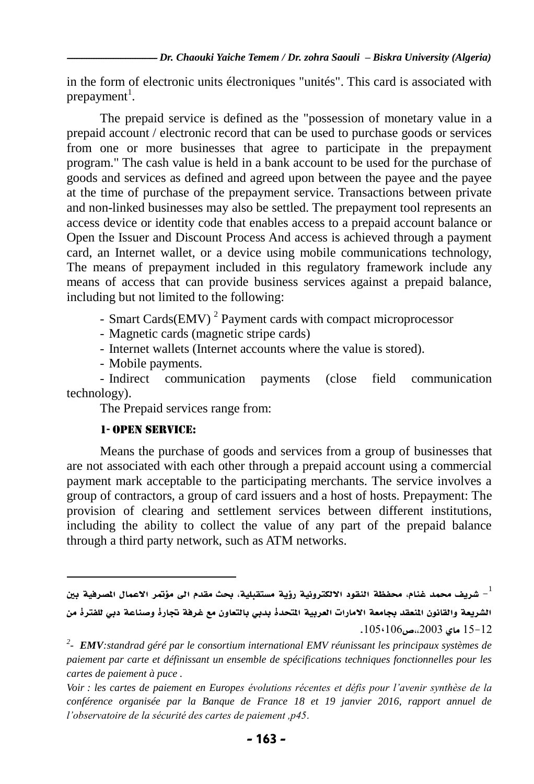in the form of electronic units électroniques "unités". This card is associated with prepayment<sup>1</sup>.

The prepaid service is defined as the "possession of monetary value in a prepaid account / electronic record that can be used to purchase goods or services from one or more businesses that agree to participate in the prepayment program." The cash value is held in a bank account to be used for the purchase of goods and services as defined and agreed upon between the payee and the payee at the time of purchase of the prepayment service. Transactions between private and non-linked businesses may also be settled. The prepayment tool represents an access device or identity code that enables access to a prepaid account balance or Open the Issuer and Discount Process And access is achieved through a payment card, an Internet wallet, or a device using mobile communications technology, The means of prepayment included in this regulatory framework include any means of access that can provide business services against a prepaid balance, including but not limited to the following:

- Smart Cards(EMV)<sup>2</sup> Payment cards with compact microprocessor

- Magnetic cards (magnetic stripe cards)

- Internet wallets (Internet accounts where the value is stored).

- Mobile payments.

- Indirect communication payments (close field communication technology).

The Prepaid services range from:

## 1- Open Service:

l

Means the purchase of goods and services from a group of businesses that are not associated with each other through a prepaid account using a commercial payment mark acceptable to the participating merchants. The service involves a group of contractors, a group of card issuers and a host of hosts. Prepayment: The provision of clearing and settlement services between different institutions, including the ability to collect the value of any part of the prepaid balance through a third party network, such as ATM networks.

شريف محمد غنام، محفظة النقود الالكترونية رؤية مستقبلية، بحث مقدم الى مؤتمر الاعمال الصرفية بين  $^{-1}\,$ الشريعة والقانون المنعقد بجامعة الامارات العربية المتحدة بدبي بالتعاون مع غرفة تجارة وصناعة دبي للفترة من  $.105(106)$ ماي 2003،0 $.105(106)$ 

*<sup>2</sup> - EMV:standrad géré par le consortium international EMV réunissant les principaux systèmes de paiement par carte et définissant un ensemble de spécifications techniques fonctionnelles pour les cartes de paiement à puce .* 

*Voir : les cartes de paiement en Europes évolutions récentes et défis pour l'avenir synthèse de la conférence organisée par la Banque de France 18 et 19 janvier 2016, rapport annuel de l'observatoire de la sécurité des cartes de paiement ,p45*.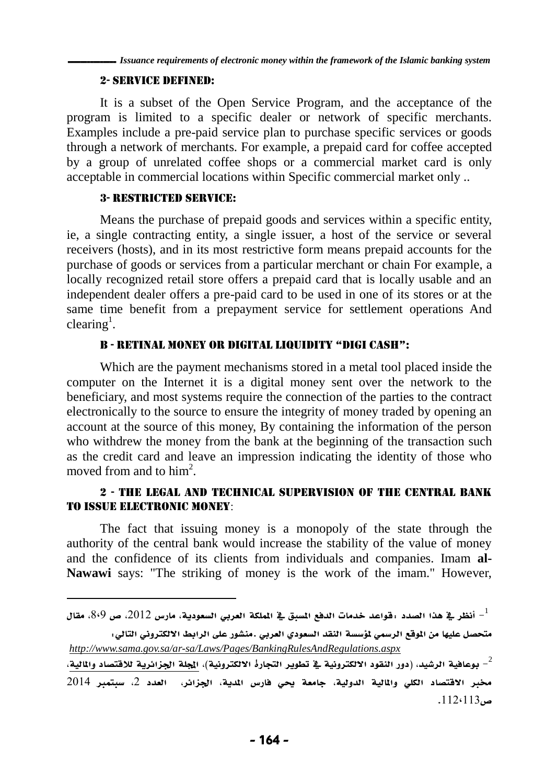## 2- Service defined:

It is a subset of the Open Service Program, and the acceptance of the program is limited to a specific dealer or network of specific merchants. Examples include a pre-paid service plan to purchase specific services or goods through a network of merchants. For example, a prepaid card for coffee accepted by a group of unrelated coffee shops or a commercial market card is only acceptable in commercial locations within Specific commercial market only ..

## 3- Restricted service:

 $\overline{a}$ 

Means the purchase of prepaid goods and services within a specific entity, ie, a single contracting entity, a single issuer, a host of the service or several receivers (hosts), and in its most restrictive form means prepaid accounts for the purchase of goods or services from a particular merchant or chain For example, a locally recognized retail store offers a prepaid card that is locally usable and an independent dealer offers a pre-paid card to be used in one of its stores or at the same time benefit from a prepayment service for settlement operations And clearing<sup>1</sup>.

## B - Retinal Money oR Digital liquiDity "Digi CaSH":

Which are the payment mechanisms stored in a metal tool placed inside the computer on the Internet it is a digital money sent over the network to the beneficiary, and most systems require the connection of the parties to the contract electronically to the source to ensure the integrity of money traded by opening an account at the source of this money, By containing the information of the person who withdrew the money from the bank at the beginning of the transaction such as the credit card and leave an impression indicating the identity of those who moved from and to  $\text{him}^2$ .

## 2 - The legal and technical supervision of the Central Bank to issue electronic money:

The fact that issuing money is a monopoly of the state through the authority of the central bank would increase the stability of the value of money and the confidence of its clients from individuals and companies. Imam **al-Nawawi** says: "The striking of money is the work of the imam." However,

متحصل عليها من الموقع الرسمي لمؤسسة النقد السعودي العربي .منشور على الرابط الالكتروني التالي: *<http://www.sama.gov.sa/ar-sa/Laws/Pages/BankingRulesAndRegulations.aspx>*

بوعافية الرشيد، (دور النقود الالكترونية في تطوير التجارة الالكترونية)، المجلة الجزائرية للاقتصاد والمالية،  $^{-2}$ خمرب االقتصاد الكلي واملالية الدولية، جامعة حيي فارس املدية، اجلزائر، العدد ،2 سبتمرب 2103  $.112 \cdot 113$ ص

أ أنظر في هذا الصدد :قواعد خدمات الدفع السبق في الملكة العربي السعودية، مارس 2012، ص 809، مقال -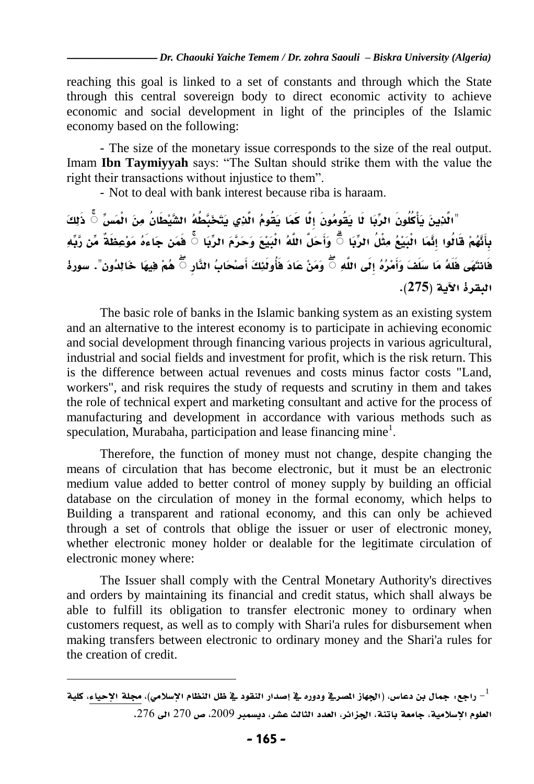reaching this goal is linked to a set of constants and through which the State through this central sovereign body to direct economic activity to achieve economic and social development in light of the principles of the Islamic economy based on the following:

- The size of the monetary issue corresponds to the size of the real output. Imam **Ibn Taymiyyah** says: "The Sultan should strike them with the value the right their transactions without injustice to them".

- Not to deal with bank interest because riba is haraam.

ذَلِكَ **ۚ** "الَّذِينَ يَأْكُلُونَ الرِّبَا لَا يَقُومُونَ إِلَّا كَمَا يَقُومُ الَّذِي يَتَخَبَّطُهُ الشَّيْطَانُ مِنَ الْمَسِّ **ۚ** وَأَحَلَّ اللَّهُ الْبَيْعَ وَحَرَّمَ الرِّبَا **ۚ** فَمَن جَا َهُ مَوْعِظَةٌ مِّن رَّبِّهِ بِأَنَّهُمْ قَالُوا إِنَّمَا الْبَيْعُ مِثْلُ الرِّبَا **ۚ** هُمْ فِيهَا خَالِدُون". سورة **ۚ** وَمَنْ عَادَ فَأُولَئِكَ أَصْحَابُ النَّارِ فَانتَهَى فَلَهُ مَا سَلَفَ وَأَمْرُهُ إِلَى اللَّهِ البقرة اآلية )**572**(.

The basic role of banks in the Islamic banking system as an existing system and an alternative to the interest economy is to participate in achieving economic and social development through financing various projects in various agricultural, industrial and social fields and investment for profit, which is the risk return. This is the difference between actual revenues and costs minus factor costs "Land, workers", and risk requires the study of requests and scrutiny in them and takes the role of technical expert and marketing consultant and active for the process of manufacturing and development in accordance with various methods such as speculation, Murabaha, participation and lease financing mine<sup>1</sup>.

Therefore, the function of money must not change, despite changing the means of circulation that has become electronic, but it must be an electronic medium value added to better control of money supply by building an official database on the circulation of money in the formal economy, which helps to Building a transparent and rational economy, and this can only be achieved through a set of controls that oblige the issuer or user of electronic money, whether electronic money holder or dealable for the legitimate circulation of electronic money where:

The Issuer shall comply with the Central Monetary Authority's directives and orders by maintaining its financial and credit status, which shall always be able to fulfill its obligation to transfer electronic money to ordinary when customers request, as well as to comply with Shari'a rules for disbursement when making transfers between electronic to ordinary money and the Shari'a rules for the creation of credit.

راجع: جمال بن دعاس، (الجهاز الصرية ودوره ية إصدار النقود ية ظل النظام الإسلامي)، مجلة الإحياء، كلية  $^{-1}$ العلوم الإسلامية، جامعة باتنة، الجزائر، العدد الثالث عشر، ديسمبر 2009، ص 270 الى 276.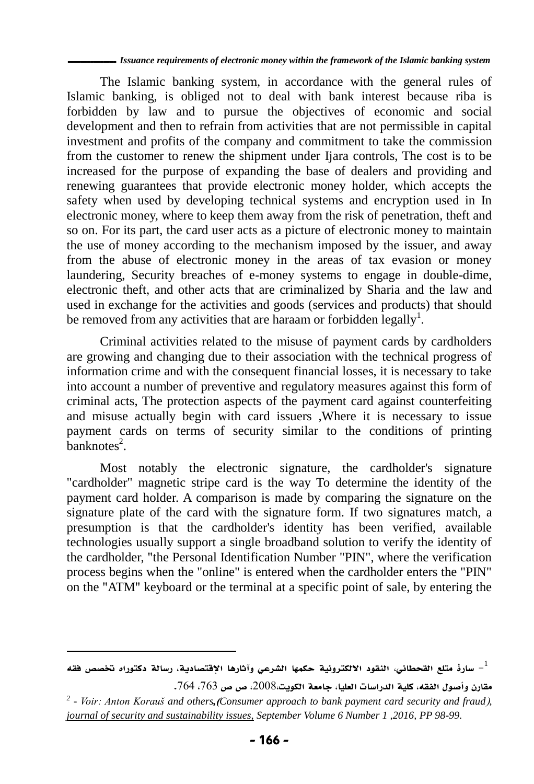ـــــــــــــــ *Issuance requirements of electronic money within the framework of the Islamic banking system*

The Islamic banking system, in accordance with the general rules of Islamic banking, is obliged not to deal with bank interest because riba is forbidden by law and to pursue the objectives of economic and social development and then to refrain from activities that are not permissible in capital investment and profits of the company and commitment to take the commission from the customer to renew the shipment under Ijara controls, The cost is to be increased for the purpose of expanding the base of dealers and providing and renewing guarantees that provide electronic money holder, which accepts the safety when used by developing technical systems and encryption used in In electronic money, where to keep them away from the risk of penetration, theft and so on. For its part, the card user acts as a picture of electronic money to maintain the use of money according to the mechanism imposed by the issuer, and away from the abuse of electronic money in the areas of tax evasion or money laundering, Security breaches of e-money systems to engage in double-dime, electronic theft, and other acts that are criminalized by Sharia and the law and used in exchange for the activities and goods (services and products) that should be removed from any activities that are haraam or forbidden legally $^1$ .

Criminal activities related to the misuse of payment cards by cardholders are growing and changing due to their association with the technical progress of information crime and with the consequent financial losses, it is necessary to take into account a number of preventive and regulatory measures against this form of criminal acts, The protection aspects of the payment card against counterfeiting and misuse actually begin with card issuers ,Where it is necessary to issue payment cards on terms of security similar to the conditions of printing  $\bar{\text{banknotes}}^2$ .

Most notably the electronic signature, the cardholder's signature "cardholder" magnetic stripe card is the way To determine the identity of the payment card holder. A comparison is made by comparing the signature on the signature plate of the card with the signature form. If two signatures match, a presumption is that the cardholder's identity has been verified, available technologies usually support a single broadband solution to verify the identity of the cardholder, "the Personal Identification Number "PIN", where the verification process begins when the "online" is entered when the cardholder enters the "PIN" on the "ATM" keyboard or the terminal at a specific point of sale, by entering the

سارة متلع القحطاني، النقود الالكترونية حكمها الشرعي وآثارها الإقتصادية، رسالة دكتوراه تخصص فقه – مقارن وأصول الفقه، كلية الدراسات العليا، جامعة الكويت،2112، ص ص ،763 .763

<sup>&</sup>lt;sup>2</sup> *- Voir: Anton Korauš and others,* (Consumer approach to bank payment card security and fraud), *journal of security and sustainability issues, September Volume 6 Number 1 ,2016, PP 98-99.*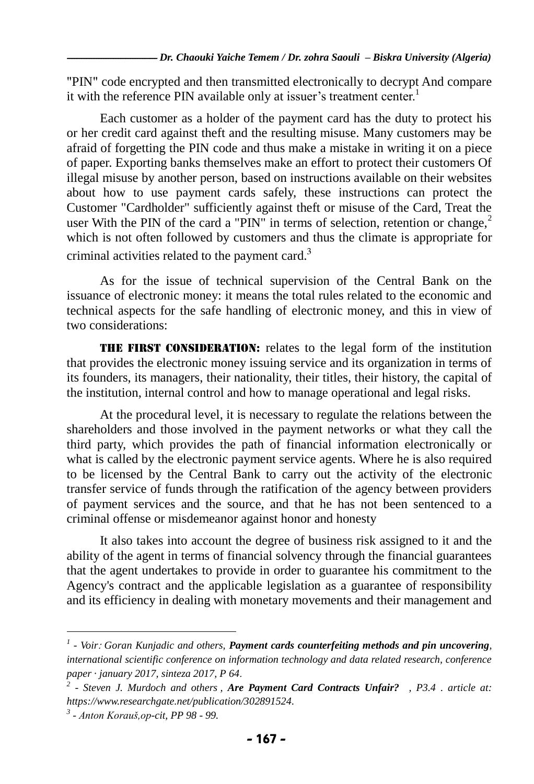"PIN" code encrypted and then transmitted electronically to decrypt And compare it with the reference PIN available only at issuer's treatment center.<sup>1</sup>

Each customer as a holder of the payment card has the duty to protect his or her credit card against theft and the resulting misuse. Many customers may be afraid of forgetting the PIN code and thus make a mistake in writing it on a piece of paper. Exporting banks themselves make an effort to protect their customers Of illegal misuse by another person, based on instructions available on their websites about how to use payment cards safely, these instructions can protect the Customer "Cardholder" sufficiently against theft or misuse of the Card, Treat the user With the PIN of the card a "PIN" in terms of selection, retention or change, $2$ which is not often followed by customers and thus the climate is appropriate for criminal activities related to the payment card.

As for the issue of technical supervision of the Central Bank on the issuance of electronic money: it means the total rules related to the economic and technical aspects for the safe handling of electronic money, and this in view of two considerations:

**THE FIRST CONSIDERATION:** relates to the legal form of the institution that provides the electronic money issuing service and its organization in terms of its founders, its managers, their nationality, their titles, their history, the capital of the institution, internal control and how to manage operational and legal risks.

At the procedural level, it is necessary to regulate the relations between the shareholders and those involved in the payment networks or what they call the third party, which provides the path of financial information electronically or what is called by the electronic payment service agents. Where he is also required to be licensed by the Central Bank to carry out the activity of the electronic transfer service of funds through the ratification of the agency between providers of payment services and the source, and that he has not been sentenced to a criminal offense or misdemeanor against honor and honesty

It also takes into account the degree of business risk assigned to it and the ability of the agent in terms of financial solvency through the financial guarantees that the agent undertakes to provide in order to guarantee his commitment to the Agency's contract and the applicable legislation as a guarantee of responsibility and its efficiency in dealing with monetary movements and their management and

*<sup>1</sup> - Voir*: *Goran Kunjadic and others, Payment cards counterfeiting methods and pin uncovering, international scientific conference on information technology and data related research, conference paper · january 2017, sinteza 2017, P 64*.

*<sup>2</sup> - Steven J. Murdoch and others , Are Payment Card Contracts Unfair? , P3.4 . article at: https://www.researchgate.net/publication/302891524.*

*<sup>3</sup> - Anton Korauš,op-cit, PP 98 - 99.*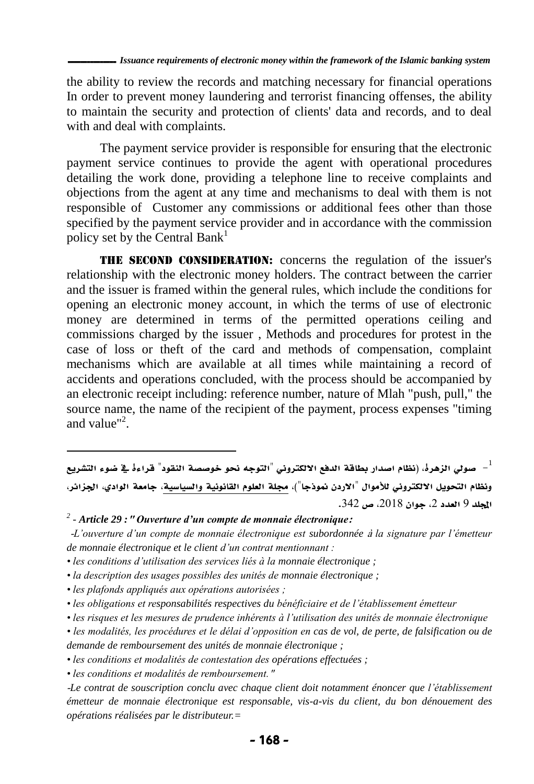the ability to review the records and matching necessary for financial operations In order to prevent money laundering and terrorist financing offenses, the ability to maintain the security and protection of clients' data and records, and to deal with and deal with complaints.

The payment service provider is responsible for ensuring that the electronic payment service continues to provide the agent with operational procedures detailing the work done, providing a telephone line to receive complaints and objections from the agent at any time and mechanisms to deal with them is not responsible of Customer any commissions or additional fees other than those specified by the payment service provider and in accordance with the commission policy set by the Central Bank<sup>1</sup>

**THE SECOND CONSIDERATION:** concerns the regulation of the issuer's relationship with the electronic money holders. The contract between the carrier and the issuer is framed within the general rules, which include the conditions for opening an electronic money account, in which the terms of use of electronic money are determined in terms of the permitted operations ceiling and commissions charged by the issuer , Methods and procedures for protest in the case of loss or theft of the card and methods of compensation, complaint mechanisms which are available at all times while maintaining a record of accidents and operations concluded, with the process should be accompanied by an electronic receipt including: reference number, nature of Mlah "push, pull," the source name, the name of the recipient of the payment, process expenses "timing and value"<sup>2</sup>.

صولي الزهرة، (نظام اصدار بطاقة الدفع الالكتروني "التوجه نحو خوصصة النقود" قراءةً في ضوء التشريع – ونظام التحويل الالكتروني للأموال "الاردن نموذجا")، مجلة العلوم القانونية والسياسية، جامعة الوادي، الجزائر، المجلد 9 العدد 2، جوان 2018، ص 342.

*2 - Article 29 :***"** *Ouverture d'un compte de monnaie électronique***:**

-*L'ouverture d'un compte de monnaie électronique est subordonnée* <sup>à</sup> *la signature par l'émetteur de monnaie électronique et le client d'un contrat mentionnant :*

- *les conditions d'utilisation des services liés à la monnaie électronique ;*
- *la description des usages possibles des unités de monnaie électronique ;*

*• les plafonds appliqués aux opérations autorisées ;*

 $\overline{a}$ 

- *les obligations et responsabilités respectives du bénéficiaire et de l'établissement émetteur*
- *les risques et les mesures de prudence inhérents à l'utilisation des unités de monnaie électronique*
- *les modalités, les procédures et le délai d'opposition en cas de vol, de perte, de falsification ou de demande de remboursement des unités de monnaie électronique ;*
- *les conditions et modalités de contestation des opérations effectuées ;*

*• les conditions et modalités de remboursement.*"

-*Le contrat de souscription conclu avec chaque client doit notamment énoncer que l'établissement émetteur de monnaie électronique est responsable, vis-a-vis du client, du bon dénouement des opérations réalisées par le distributeur.=*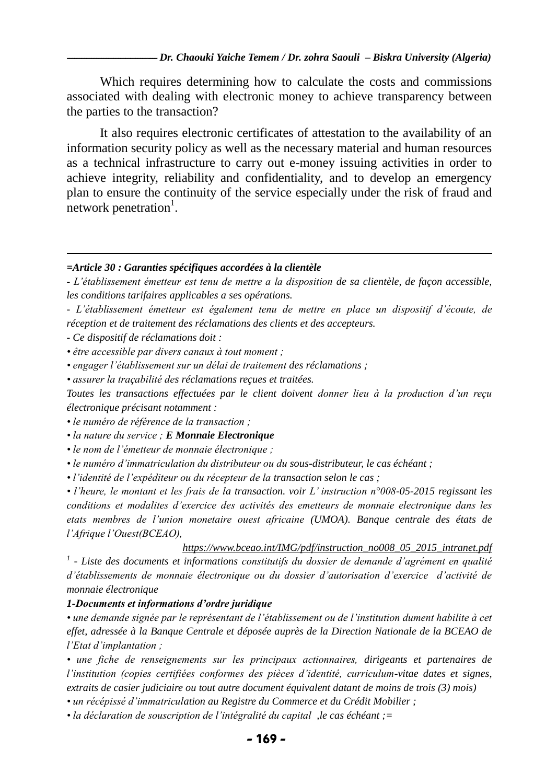Which requires determining how to calculate the costs and commissions associated with dealing with electronic money to achieve transparency between the parties to the transaction?

It also requires electronic certificates of attestation to the availability of an information security policy as well as the necessary material and human resources as a technical infrastructure to carry out e-money issuing activities in order to achieve integrity, reliability and confidentiality, and to develop an emergency plan to ensure the continuity of the service especially under the risk of fraud and network penetration<sup>1</sup>.

#### *=Article 30 : Garanties spécifiques accordées à la clientèle*

*- L'établissement émetteur est tenu de mettre a la disposition de sa clientèle, de façon accessible, les conditions tarifaires applicables a ses opérations.*

*- L'établissement émetteur est également tenu de mettre en place un dispositif d'écoute, de réception et de traitement des réclamations des clients et des accepteurs.*

*- Ce dispositif de réclamations doit :*

 $\overline{a}$ 

*• être accessible par divers canaux à tout moment ;*

*• engager l'établissement sur un délai de traitement des réclamations ;*

*• assurer la traçabilité des réclamations reçues et traitées.*

*Toutes les transactions effectuées par le client doivent donner lieu à la production d'un reçu électronique précisant notamment :*

*• le numéro de référence de la transaction ;*

*• la nature du service ; E Monnaie Electronique*

*• le nom de l'émetteur de monnaie électronique ;*

*• le numéro d'immatriculation du distributeur ou du sous-distributeur, le cas échéant ;*

*• l'identité de l'expéditeur ou du récepteur de la transaction selon le cas ;*

*• l'heure, le montant et les frais de la transaction. voir L' instruction n°008-05-2015 regissant les conditions et modalites d'exercice des activités des emetteurs de monnaie electronique dans les etats membres de l'union monetaire ouest africaine (UMOA). Banque centrale des états de l'Afrique l'Ouest(BCEAO),*

*[https://www.bceao.int/IMG/pdf/instruction\\_no008\\_05\\_2015\\_intranet.pdf](https://www.bceao.int/IMG/pdf/instruction_no008_05_2015_intranet.pdf) 1 - Liste des documents et informations constitutifs du dossier de demande d'agrément en qualité d'établissements de monnaie électronique ou du dossier d'autorisation d'exercice d'activité de monnaie électronique*

#### *1-Documents et informations d'ordre juridique*

*• une demande signée par le représentant de l'établissement ou de l'institution dument habilite à cet effet, adressée à la Banque Centrale et déposée auprès de la Direction Nationale de la BCEAO de l'Etat d'implantation ;*

*• une fiche de renseignements sur les principaux actionnaires, dirigeants et partenaires de l'institution (copies certifiées conformes des pièces d'identité, curriculum-vitae dates et signes, extraits de casier judiciaire ou tout autre document équivalent datant de moins de trois (3) mois)* 

*• un récépissé d'immatriculation au Registre du Commerce et du Crédit Mobilier ;*

*• la déclaration de souscription de l'intégralité du capital ,le cas échéant ;=*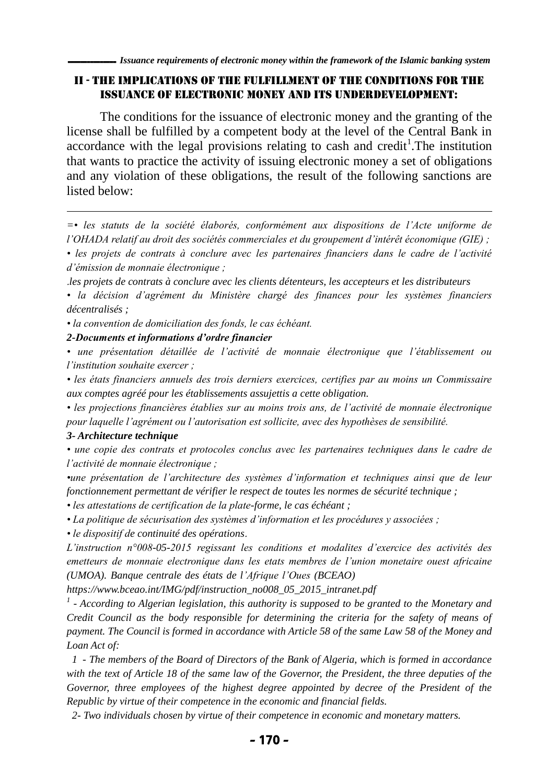## II - the implications of the fulfillment of the conditions for the issuance of electronic money and its underdevelopment:

The conditions for the issuance of electronic money and the granting of the license shall be fulfilled by a competent body at the level of the Central Bank in accordance with the legal provisions relating to cash and credit<sup>1</sup>. The institution that wants to practice the activity of issuing electronic money a set of obligations and any violation of these obligations, the result of the following sanctions are listed below:

*=• les statuts de la société élaborés, conformément aux dispositions de l'Acte uniforme de l'OHADA relatif au droit des sociétés commerciales et du groupement d'intérêt économique (GIE) ;*

*• les projets de contrats à conclure avec les partenaires financiers dans le cadre de l'activité d'émission de monnaie électronique ;*

.*les projets de contrats à conclure avec les clients détenteurs, les accepteurs et les distributeurs* 

*• la décision d'agrément du Ministère chargé des finances pour les systèmes financiers décentralisés ;*

*• la convention de domiciliation des fonds, le cas échéant.*

*2-Documents et informations d'ordre financier*

*• une présentation détaillée de l'activité de monnaie électronique que l'établissement ou l'institution souhaite exercer ;*

*• les états financiers annuels des trois derniers exercices, certifies par au moins un Commissaire aux comptes agréé pour les établissements assujettis a cette obligation.*

*• les projections financières établies sur au moins trois ans, de l'activité de monnaie électronique pour laquelle l'agrément ou l'autorisation est sollicite, avec des hypothèses de sensibilité.*

## *3- Architecture technique*

 $\overline{a}$ 

*• une copie des contrats et protocoles conclus avec les partenaires techniques dans le cadre de l'activité de monnaie électronique ;*

*•une présentation de l'architecture des systèmes d'information et techniques ainsi que de leur fonctionnement permettant de vérifier le respect de toutes les normes de sécurité technique ;*

*• les attestations de certification de la plate-forme, le cas échéant ;*

*• La politique de sécurisation des systèmes d'information et les procédures y associées ;*

*• le dispositif de continuité des opérations*.

*L'instruction n°008-05-2015 regissant les conditions et modalites d'exercice des activités des emetteurs de monnaie electronique dans les etats membres de l'union monetaire ouest africaine (UMOA). Banque centrale des états de l'Afrique l'Oues (BCEAO)* 

*https://www.bceao.int/IMG/pdf/instruction\_no008\_05\_2015\_intranet.pdf*

*1 - According to Algerian legislation, this authority is supposed to be granted to the Monetary and Credit Council as the body responsible for determining the criteria for the safety of means of payment. The Council is formed in accordance with Article 58 of the same Law 58 of the Money and Loan Act of:*

 *1 - The members of the Board of Directors of the Bank of Algeria, which is formed in accordance with the text of Article 18 of the same law of the Governor, the President, the three deputies of the*  Governor, three employees of the highest degree appointed by decree of the President of the *Republic by virtue of their competence in the economic and financial fields.*

 *2- Two individuals chosen by virtue of their competence in economic and monetary matters.*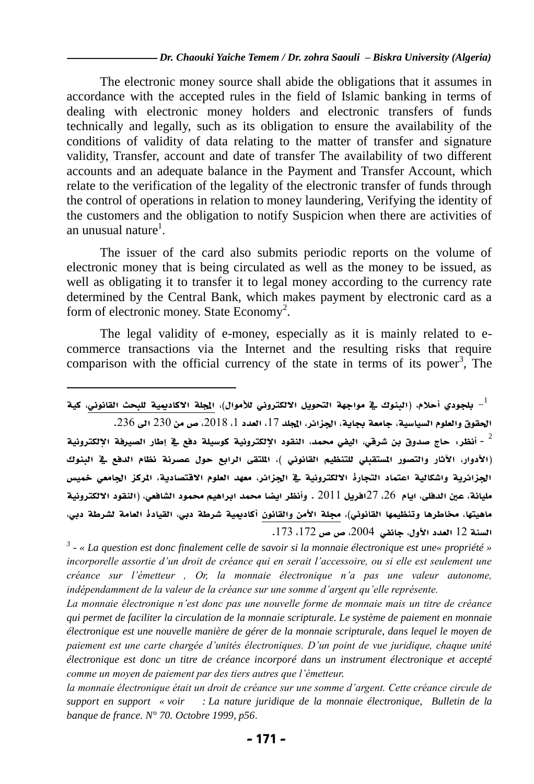The electronic money source shall abide the obligations that it assumes in accordance with the accepted rules in the field of Islamic banking in terms of dealing with electronic money holders and electronic transfers of funds technically and legally, such as its obligation to ensure the availability of the conditions of validity of data relating to the matter of transfer and signature validity, Transfer, account and date of transfer The availability of two different accounts and an adequate balance in the Payment and Transfer Account, which relate to the verification of the legality of the electronic transfer of funds through the control of operations in relation to money laundering, Verifying the identity of the customers and the obligation to notify Suspicion when there are activities of an unusual nature $^{\rm l}$ .

The issuer of the card also submits periodic reports on the volume of electronic money that is being circulated as well as the money to be issued, as well as obligating it to transfer it to legal money according to the currency rate determined by the Central Bank, which makes payment by electronic card as a form of electronic money. State Economy<sup>2</sup>.

The legal validity of e-money, especially as it is mainly related to ecommerce transactions via the Internet and the resulting risks that require comparison with the official currency of the state in terms of its power<sup>3</sup>, The

لبلجودي أحلام، (البنوك في مواجهة التحويل الالكتروني للأموال)، المجلة الاكاديمية للبحث القانوني، كية –

 $\overline{a}$ 

الحقوق والعلوم السياسية، جامعة بجاية، الجزائر، الجلد 17، العدد 1، 2018، ص من 230 الى 236. أنظر: حاج صدوق بن شرقي، اليفي محمد، النقود الإلكترونية كوسيلة دفع في إطار الصيرفة الإلكترونية -)األدوار، اآلثار والتصور املستقبلي للتنظيم القانوين (، امللتقى الرابع حول عصرنة نظام الدفع يف البنوك الجزائرية واشكالية اعتماد التجارة الالكترونية في الجزائر، معهد العلوم الاقتصادية، الركز الجامعي خميس مليانة، عني الدفلى، ايام ،26 27افريل 2100 . وأنظر ايضا حممد ابراهيم حممود الشافعي، )النقود االلكترونية ماهيتها، مخاطرها وتنظيمها القانوني)، مجلة الأمن والقانون أكاديمية شرطة دبي، القيادة العامة لشرطة دبي، السنة 02 العدد األول، جانفي ،2113 ص ص ،072 .073

*3 - « La question est donc finalement celle de savoir si la monnaie électronique est une« propriété »*  incorporelle assortie d'un droit de créance qui en serait l'accessoire, ou si elle est seulement une *créance sur l'émetteur , Or, la monnaie électronique n'a pas une valeur autonome, indépendamment de la valeur de la créance sur une somme d'argent qu'elle représente.*

*La monnaie électronique n'est donc pas une nouvelle forme de monnaie mais un titre de créance qui permet de faciliter la circulation de la monnaie scripturale. Le système de paiement en monnaie électronique est une nouvelle manière de gérer de la monnaie scripturale, dans lequel le moyen de paiement est une carte chargée d'unités électroniques. D'un point de vue juridique, chaque unité électronique est donc un titre de créance incorporé dans un instrument électronique et accepté comme un moyen de paiement par des tiers autres que l'émetteur.*

la monnaie électronique était un droit de créance sur une somme d'argent. Cette créance circule de *support en support « voir : La nature juridique de la monnaie électronique, Bulletin de la banque de france. N° 70. Octobre 1999, p56*.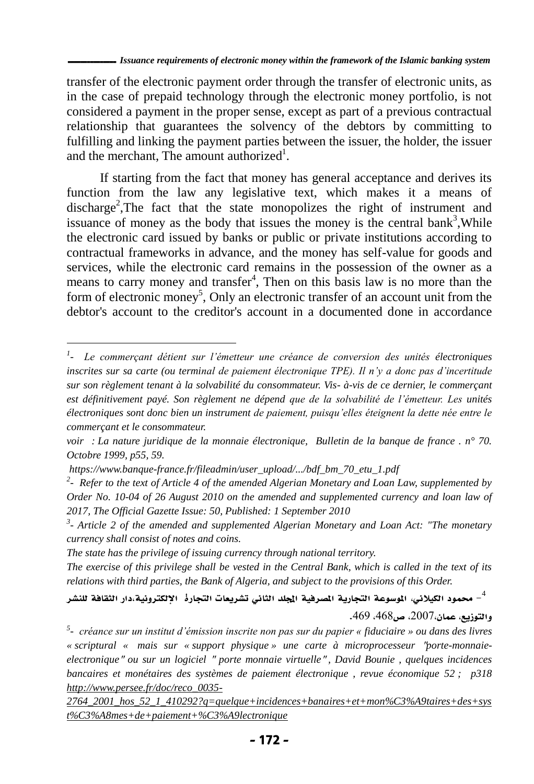transfer of the electronic payment order through the transfer of electronic units, as in the case of prepaid technology through the electronic money portfolio, is not considered a payment in the proper sense, except as part of a previous contractual relationship that guarantees the solvency of the debtors by committing to fulfilling and linking the payment parties between the issuer, the holder, the issuer and the merchant, The amount authorized<sup>1</sup>.

If starting from the fact that money has general acceptance and derives its function from the law any legislative text, which makes it a means of discharge<sup>2</sup>, The fact that the state monopolizes the right of instrument and issuance of money as the body that issues the money is the central bank<sup>3</sup>, While the electronic card issued by banks or public or private institutions according to contractual frameworks in advance, and the money has self-value for goods and services, while the electronic card remains in the possession of the owner as a means to carry money and transfer<sup>4</sup>, Then on this basis law is no more than the form of electronic money<sup>5</sup>, Only an electronic transfer of an account unit from the debtor's account to the creditor's account in a documented done in accordance

 $\overline{a}$ 

*The state has the privilege of issuing currency through national territory.*

*The exercise of this privilege shall be vested in the Central Bank, which is called in the text of its relations with third parties, the Bank of Algeria, and subject to the provisions of this Order.*

محمود الكيلاني، الموسوعة التجارية الصرفية الجلد الثاني تشريعات التجاره الإلكترونية،دار الثقافة للنشر – والتوزيع، عمان،2117، ص،362 .369

*<sup>1</sup> - Le commerçant détient sur l'émetteur une créance de conversion des unités électroniques inscrites sur sa carte (ou terminal de paiement électronique TPE). Il n'y a donc pas d'incertitude sur son règlement tenant à la solvabilité du consommateur. Vis- à-vis de ce dernier, le commerçant est définitivement payé. Son règlement ne dépend que de la solvabilité de l'émetteur. Les unités électroniques sont donc bien un instrument de paiement, puisqu'elles éteignent la dette née entre le commerçant et le consommateur.* 

*voir : La nature juridique de la monnaie électronique, Bulletin de la banque de france . n° 70. Octobre 1999, p55, 59.*

*https://www.banque-france.fr/fileadmin/user\_upload/.../bdf\_bm\_70\_etu\_1.pdf*

*<sup>2</sup> - Refer to the text of Article 4 of the amended Algerian Monetary and Loan Law, supplemented by Order No. 10-04 of 26 August 2010 on the amended and supplemented currency and loan law of 2017, The Official Gazette Issue: 50, Published: 1 September 2010*

*<sup>3</sup> - Article 2 of the amended and supplemented Algerian Monetary and Loan Act: "The monetary currency shall consist of notes and coins.*

*<sup>5</sup> - créance sur un institut d'émission inscrite non pas sur du papier « fiduciaire » ou dans des livres « scriptural « mais sur « support physique » une carte à microprocesseur* "*porte-monnaieelectronique*" *ou sur un logiciel* " *porte monnaie virtuelle*" *, David Bounie , quelques incidences bancaires et monétaires des systèmes de paiement électronique , revue économique 52 ; p318 [http://www.persee.fr/doc/reco\\_0035-](http://www.persee.fr/doc/reco_0035-2764_2001_hos_52_1_410292?q=quelque+incidences+banaires+et+mon%C3%A9taires+des+syst%C3%A8mes+de+paiement+%C3%A9lectronique)*

*[<sup>2764</sup>\\_2001\\_hos\\_52\\_1\\_410292?q=quelque+incidences+banaires+et+mon%C3%A9taires+des+sys](http://www.persee.fr/doc/reco_0035-2764_2001_hos_52_1_410292?q=quelque+incidences+banaires+et+mon%C3%A9taires+des+syst%C3%A8mes+de+paiement+%C3%A9lectronique) [t%C3%A8mes+de+paiement+%C3%A9lectronique](http://www.persee.fr/doc/reco_0035-2764_2001_hos_52_1_410292?q=quelque+incidences+banaires+et+mon%C3%A9taires+des+syst%C3%A8mes+de+paiement+%C3%A9lectronique)*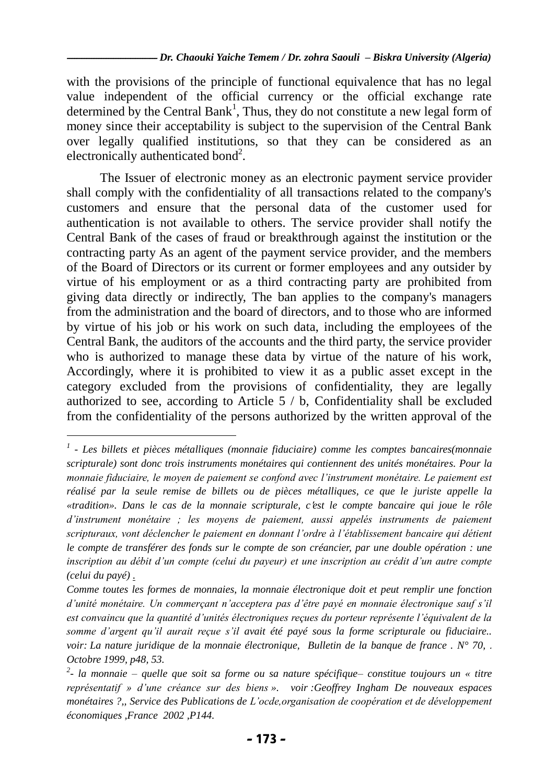with the provisions of the principle of functional equivalence that has no legal value independent of the official currency or the official exchange rate determined by the Central Bank<sup>1</sup>, Thus, they do not constitute a new legal form of money since their acceptability is subject to the supervision of the Central Bank over legally qualified institutions, so that they can be considered as an electronically authenticated bond<sup>2</sup>.

The Issuer of electronic money as an electronic payment service provider shall comply with the confidentiality of all transactions related to the company's customers and ensure that the personal data of the customer used for authentication is not available to others. The service provider shall notify the Central Bank of the cases of fraud or breakthrough against the institution or the contracting party As an agent of the payment service provider, and the members of the Board of Directors or its current or former employees and any outsider by virtue of his employment or as a third contracting party are prohibited from giving data directly or indirectly, The ban applies to the company's managers from the administration and the board of directors, and to those who are informed by virtue of his job or his work on such data, including the employees of the Central Bank, the auditors of the accounts and the third party, the service provider who is authorized to manage these data by virtue of the nature of his work, Accordingly, where it is prohibited to view it as a public asset except in the category excluded from the provisions of confidentiality, they are legally authorized to see, according to Article 5 / b, Confidentiality shall be excluded from the confidentiality of the persons authorized by the written approval of the

*<sup>1</sup> - Les billets et pièces métalliques (monnaie fiduciaire) comme les comptes bancaires(monnaie scripturale) sont donc trois instruments monétaires qui contiennent des unités monétaires. Pour la monnaie fiduciaire, le moyen de paiement se confond avec l'instrument monétaire. Le paiement est réalisé par la seule remise de billets ou de pièces métalliques, ce que le juriste appelle la «tradition». Dans le cas de la monnaie scripturale, c*'*est le compte bancaire qui joue le rôle d'instrument monétaire ; les moyens de paiement, aussi appelés instruments de paiement scripturaux, vont déclencher le paiement en donnant l'ordre à l'établissement bancaire qui détient le compte de transférer des fonds sur le compte de son créancier, par une double opération : une inscription au débit d'un compte (celui du payeur) et une inscription au crédit d'un autre compte (celui du payé) .*

*Comme toutes les formes de monnaies, la monnaie électronique doit et peut remplir une fonction d'unité monétaire. Un commerçant n'acceptera pas d'être payé en monnaie électronique sauf s'il est convaincu que la quantité d'unités électroniques reçues du porteur représente l'équivalent de la somme d'argent qu'il aurait reçue s'il avait été payé sous la forme scripturale ou fiduciaire.. voir: La nature juridique de la monnaie électronique, Bulletin de la banque de france . N° 70,* . *Octobre 1999, p48, 53.* 

*<sup>2</sup> - la monnaie – quelle que soit sa forme ou sa nature spécifique– constitue toujours un « titre représentatif » d'une créance sur des biens ». voir :Geoffrey Ingham De nouveaux espaces monétaires ?,, Service des Publications de L'ocde,organisation de coopération et de développement économiques ,France 2002 ,P144.*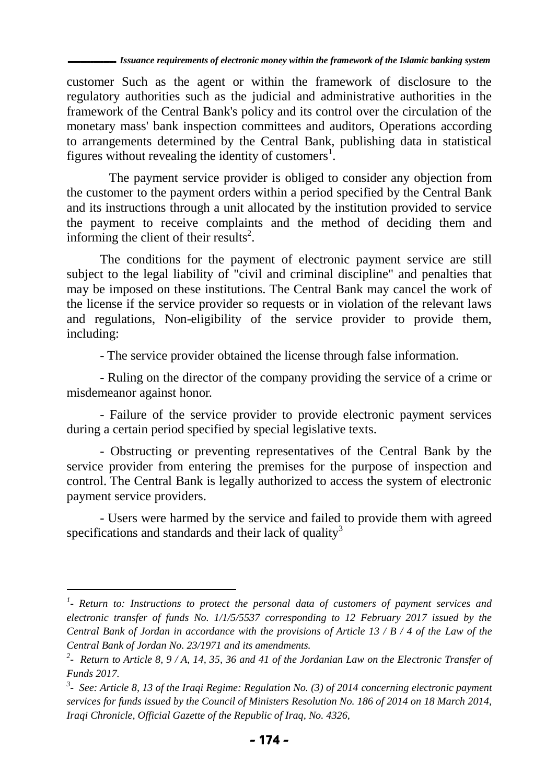customer Such as the agent or within the framework of disclosure to the regulatory authorities such as the judicial and administrative authorities in the framework of the Central Bank's policy and its control over the circulation of the monetary mass' bank inspection committees and auditors, Operations according to arrangements determined by the Central Bank, publishing data in statistical figures without revealing the identity of customers<sup>1</sup>.

The payment service provider is obliged to consider any objection from the customer to the payment orders within a period specified by the Central Bank and its instructions through a unit allocated by the institution provided to service the payment to receive complaints and the method of deciding them and informing the client of their results<sup>2</sup>.

The conditions for the payment of electronic payment service are still subject to the legal liability of "civil and criminal discipline" and penalties that may be imposed on these institutions. The Central Bank may cancel the work of the license if the service provider so requests or in violation of the relevant laws and regulations, Non-eligibility of the service provider to provide them, including:

- The service provider obtained the license through false information.

- Ruling on the director of the company providing the service of a crime or misdemeanor against honor.

- Failure of the service provider to provide electronic payment services during a certain period specified by special legislative texts.

- Obstructing or preventing representatives of the Central Bank by the service provider from entering the premises for the purpose of inspection and control. The Central Bank is legally authorized to access the system of electronic payment service providers.

- Users were harmed by the service and failed to provide them with agreed specifications and standards and their lack of quality<sup>3</sup>

*<sup>1</sup> - Return to: Instructions to protect the personal data of customers of payment services and electronic transfer of funds No. 1/1/5/5537 corresponding to 12 February 2017 issued by the Central Bank of Jordan in accordance with the provisions of Article 13 / B / 4 of the Law of the Central Bank of Jordan No. 23/1971 and its amendments.*

*<sup>2</sup> - Return to Article 8, 9 / A, 14, 35, 36 and 41 of the Jordanian Law on the Electronic Transfer of Funds 2017.*

<sup>&</sup>lt;sup>3</sup> - See: Article 8, 13 of the Iraqi Regime: Regulation No. (3) of 2014 concerning electronic payment *services for funds issued by the Council of Ministers Resolution No. 186 of 2014 on 18 March 2014, Iraqi Chronicle, Official Gazette of the Republic of Iraq, No. 4326,*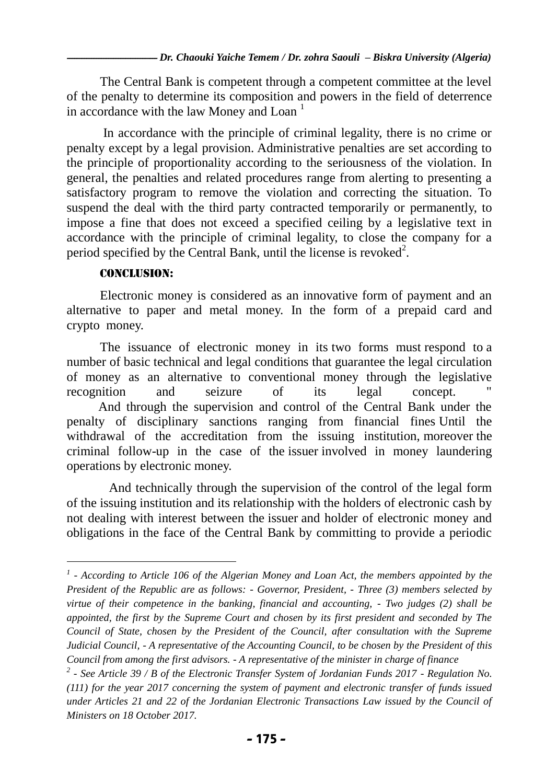The Central Bank is competent through a competent committee at the level of the penalty to determine its composition and powers in the field of deterrence in accordance with the law Money and Loan<sup> $1$ </sup>

In accordance with the principle of criminal legality, there is no crime or penalty except by a legal provision. Administrative penalties are set according to the principle of proportionality according to the seriousness of the violation. In general, the penalties and related procedures range from alerting to presenting a satisfactory program to remove the violation and correcting the situation. To suspend the deal with the third party contracted temporarily or permanently, to impose a fine that does not exceed a specified ceiling by a legislative text in accordance with the principle of criminal legality, to close the company for a period specified by the Central Bank, until the license is revoked<sup>2</sup>.

## Conclusion:

l

Electronic money is considered as an innovative form of payment and an alternative to paper and metal money. In the form of a prepaid card and crypto money.

The issuance of electronic money in its two forms must respond to a number of basic technical and legal conditions that guarantee the legal circulation of money as an alternative to conventional money through the legislative recognition and seizure of its legal concept. And through the supervision and control of the Central Bank under the penalty of disciplinary sanctions ranging from financial fines Until the withdrawal of the accreditation from the issuing institution, moreover the criminal follow-up in the case of the issuer involved in money laundering operations by electronic money.

And technically through the supervision of the control of the legal form of the issuing institution and its relationship with the holders of electronic cash by not dealing with interest between the issuer and holder of electronic money and obligations in the face of the Central Bank by committing to provide a periodic

*<sup>1</sup> - According to Article 106 of the Algerian Money and Loan Act, the members appointed by the President of the Republic are as follows: - Governor, President, - Three (3) members selected by virtue of their competence in the banking, financial and accounting, - Two judges (2) shall be appointed, the first by the Supreme Court and chosen by its first president and seconded by The Council of State, chosen by the President of the Council, after consultation with the Supreme Judicial Council, - A representative of the Accounting Council, to be chosen by the President of this Council from among the first advisors. - A representative of the minister in charge of finance*

*<sup>2</sup> - See Article 39 / B of the Electronic Transfer System of Jordanian Funds 2017 - Regulation No. (111) for the year 2017 concerning the system of payment and electronic transfer of funds issued under Articles 21 and 22 of the Jordanian Electronic Transactions Law issued by the Council of Ministers on 18 October 2017.*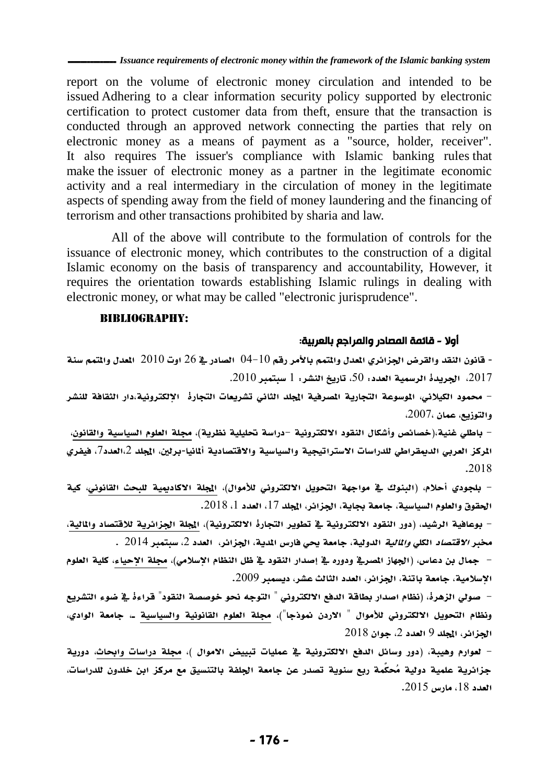report on the volume of electronic money circulation and intended to be issued Adhering to a clear information security policy supported by electronic certification to protect customer data from theft, ensure that the transaction is conducted through an approved network connecting the parties that rely on electronic money as a means of payment as a "source, holder, receiver". It also requires The issuer's compliance with Islamic banking rules that make the issuer of electronic money as a partner in the legitimate economic activity and a real intermediary in the circulation of money in the legitimate aspects of spending away from the field of money laundering and the financing of terrorism and other transactions prohibited by sharia and law.

All of the above will contribute to the formulation of controls for the issuance of electronic money, which contributes to the construction of a digital Islamic economy on the basis of transparency and accountability, However, it requires the orientation towards establishing Islamic rulings in dealing with electronic money, or what may be called "electronic jurisprudence".

### Bibliography:

### أوال - قائمة المصادر والمراجع بالعربية:

- قانون النقد والقرض اجلزائري املعدل واملتمم باألمر رقم 13-01 الصادر يف 26 اوت 2101 املعدل واملتمم سنة الجريدة الرسمية العدد: 50، تاريخ النشر: 1 سبتمبر 2010. $10$ 

- حممود الكيالين، املوسوعة التجارية املصرفية اجمللد الثاين تشريعات التجارة اإللكترونية،دار الثقافة للنشر والتوزيع، عمان ،2117،

- باطلي غنية،)خصائص وأشكال النقود االلكترونية -دراسة حتليلية نظرية(، جملة العلوم السياسية والقانون، الركز العربي الدبهقراطي للدراسات الاستراتيجية والسياسية والاقتصادية ألمانيا-برلين، الجلد 2،العدد7، فيفري .2102

– بلجودي أحلام، (البنوك يف مواجهة التحويل الالكتروني للأموال)، المجلة الاكاديمية للبحث القانوني، كية الحقوق والعلوم السياسية، جامعة بجاية، الجزائر، المجلد 17، العدد 1، 2018.

- بوعافية الرشيد، )دور النقود االلكترونية يف تطوير التجارة االلكترونية(، اجمللة اجلزائرية لالقتصاد واملالية،  $\sim 2014$  مخبر *الاقتصاد* الكل*ي والمالية* الدولية، جامعة يحي فارس المدية، الجزائر، العدد 2، سبتمبر 2014

– جمال بن دعاس، (الجهاز الصرية ودوره ية إصدار النقود ية ظل النظام الإسلامي)، مجلة الإحياء، كلية العلوم الإسلامية، جامعة باتنة، الجزائر، العدد الثالث عشر، ديسمبر 2009.

– صولى الزهرة، (نظام اصدار بطاقة الدفع الالكتروني " التوجه نحو خوصصة النقود" قراءةً في ضوء التشريع ونظام التحويل الالكتروني للأموال " الاردن نموذجا")، مجلة العلوم القانونية والسياسية ـ، جامعة الوادي، الجزائر، المجلد 9 العدد 2، جوان 2018

– لعوارم وهيبة، (دور وسائل الدفع الالكترونية في عمليات تبييض الأموال )، مجلة دراسات وابحاث، دورية جزائرية علمية دولية مُحكَّمة ربع سنوية تصدر عن جامعة اجللفة بالتنسيق مع مركز ابن خلدون للدراسات، العدد 18، مارس 2015.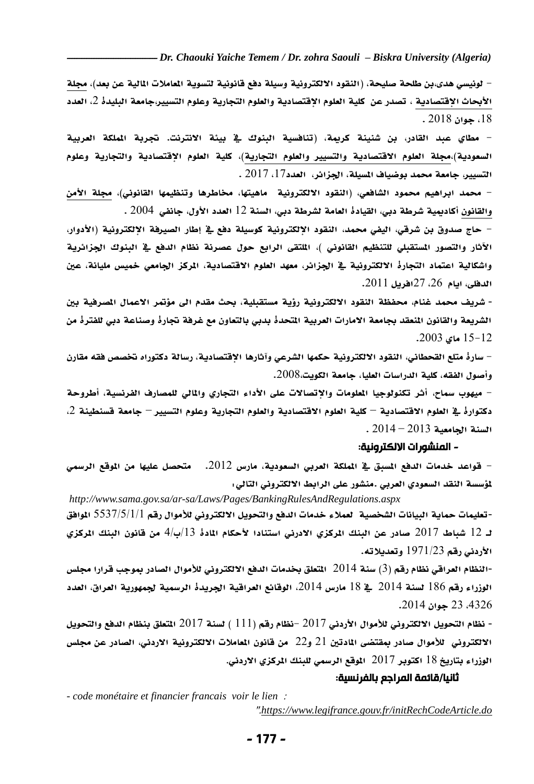*Dr. Chaouki Yaiche Temem / Dr. zohra Saouli – Biskra University (Algeria)*

– لونيسي هدى،بن طلحة صليحة، (النقود الالكترونية وسيلة دفع قانونية لتسوية الماملات المالية عن بعد)، مجلة الأبحاث الإقتصادية ، تصدر عن كلية العلوم الإقتصادية والعلوم التجارية وعلوم التسيير،جامعة البليدة 2، العدد ،02 جوان 2102 .

– مطاي عبد القادر، بن شنينة كربمة، (تنافسية البنوك في بيئة الانترنت. تجربة الملكة العربية السعودية)،مجلة العلوم الاقتصادية والتسيير والعلوم التجارية)، كلية العلوم الاقتصادية والتجارية وعلوم التسيير، جامعة محمد بوضياف المسيلة، الجزائر، العدد17، 2017 .

– محمد ابراهيم محمود الشافعي، (النقود الالكترونية ماهيتها، مخاطرها وتنظيمها القانوني)، مجلة الأمن والقانون أكاديمية شرطة دبي، القيادة العامة لشرطة دبي، السنة 12 العدد الأول، جانفي 2004 .

– حاج صدوق بن شرقي، اليفي محمد، النقود الإلكترونية كوسيلة دفع في إطار الصيرفة الإلكترونية (الأدوار، الآثار والتصور المستقبلي للتنظيم القانوني )، الملتقى الرابع حول عصرنة نظام الدفع في البنوك الجزائرية واشكالية اعتماد التجارة الالكترونية في الجزائر، معهد العلوم الاقتصادية، المركز الجامعي خميس مليانة، عين الدفلى، ايام ،26 27افريل .2100

- شريف محمد غنام، محفظة النقود الالكترونية رؤية مستقبلية، بحث مقدم الى مؤتمر الاعمال الصرفية بين الشريعة والقانون المنعقد بجامعة الامارات العربية المتحدة بدبي بالتعاون مع غرفة تجارة وصناعة دبي للفترة من 02-02 ماي .2113

- سارة متلع القحطاين، النقود االلكترونية حكمها الشرعي وآثارها اإلقتصادية، رسالة دكتوراه ختصص فقه مقارن وأصول الفقه، كلية الدراسات العليا، جامعة الكويت.2112،

– ميهوب سماح، أثر تكنولوجيا الملومات والاتصالات على الأداء التجاري والمالي للمصارف الفرنسية، أطروحة دكتوارة في العلوم الاقتصادية – كلية العلوم الاقتصادية والعلوم التجارية وعلوم التسيير – جامعة قسنطينة 2، السنة اجلامعية 2103 – 2103 .

#### - المنشورات االلكترونية:

– قواعد خدمات الدفع المسبق في الملكة العربي السعودية، مارس 2012. متحصل عليها من الموقع الرسمي ملؤسسة النقد السعودي العريب .منشور على الرابط االلكتروين التا ي:

*<http://www.sama.gov.sa/ar-sa/Laws/Pages/BankingRulesAndRegulations.aspx>* -تعليمات محاية البيانات الشخصية لعمال خدمات الدفع والتحويل االلكتروين لألموال رقم 2237/2/0/0 املوافق لـ 12 شباط 2017 صادر عن البنك المركزي الادرني استنادا لأحكام المادة 13/ب/4 من قانون البنك المركزي األردين رقم 0970/23 وتعديالته.

-النظام العراقي نظام رقم )3( سنة 2103 املتعلق خبدمات الدفع االلكتروين لألموال الصادر مبوجب قرارا جملس الوزراء رقم 186 لسنة 2014 ـ 18 مارس 2014، الوقائع العراقية الجريدة الرسمية لجمهورية العراق، العدد ،3326 23 جوان .2103

- نظام التحويل االلكتروين لألموال األردين 2107 -نظام رقم )000 ( لسنة 2107 املتعلق بنظام الدفع والتحويل الالكتروني للأموال صادر بمقتضى المادتين 21 و22 من قانون المعاملات الالكترونية الاردني، الصادر عن مجلس الوزراء بتاريخ 18 اكتوبر 2017 الموقع الرسمي للبنك المركزي الاردني.

#### ثانيا/قائمة المراجع بالفرنسية:

*- code monétaire et financier francais voir le lien* :

".*<https://www.legifrance.gouv.fr/initRechCodeArticle.do>*